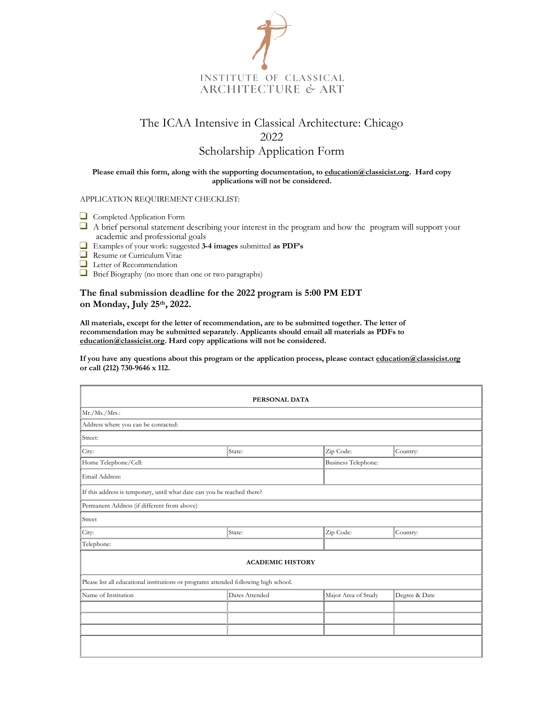

## The ICAA Intensive in Classical Architecture: Chicago 2022 Scholarship Application Form

## **Please email this form, along with the supporting documentation, to education@classicist.org. Hard copy applications will not be considered.**

APPLICATION REQUIREMENT CHECKLIST:

- Completed Application Form
- $\Box$  A brief personal statement describing your interest in the program and how the program will support your academic and professional goals
- Examples of your work: suggested **3-4 images** submitted **as PDF's**
- Resume or Curriculum Vitae
- Letter of Recommendation
- Brief Biography (no more than one or two paragraphs)

## **The final submission deadline for the 2022 program is 5:00 PM EDT on Monday, July 25th, 2022.**

**All materials, except for the letter of recommendation, are to be submitted together. The letter of recommendation may be submitted separately. Applicants should email all materials as PDFs to education@classicist.org. Hard copy applications will not be considered.**

**If you have any questions about this program or the application process, please contact education@classicist.org or call (212) 730-9646 x 112.** 

| PERSONAL DATA                                                                        |                |                            |               |  |  |  |  |
|--------------------------------------------------------------------------------------|----------------|----------------------------|---------------|--|--|--|--|
| Mr./Ms./Mrs.                                                                         |                |                            |               |  |  |  |  |
| Address where you can be contacted:                                                  |                |                            |               |  |  |  |  |
| Street:                                                                              |                |                            |               |  |  |  |  |
| City:                                                                                | State:         | Zip Code:                  | Country:      |  |  |  |  |
| Home Telephone/Cell:                                                                 |                | <b>Business Telephone:</b> |               |  |  |  |  |
| Email Address:                                                                       |                |                            |               |  |  |  |  |
| If this address is temporary, until what date can you be reached there?              |                |                            |               |  |  |  |  |
| Permanent Address (if different from above)                                          |                |                            |               |  |  |  |  |
| Street                                                                               |                |                            |               |  |  |  |  |
| City:                                                                                | State:         | Zip Code:                  | Country:      |  |  |  |  |
| Telephone:                                                                           |                |                            |               |  |  |  |  |
| <b>ACADEMIC HISTORY</b>                                                              |                |                            |               |  |  |  |  |
| Please list all educational institutions or programs attended following high school. |                |                            |               |  |  |  |  |
| Name of Institution                                                                  | Dates Attended | Major Area of Study        | Degree & Date |  |  |  |  |
|                                                                                      |                |                            |               |  |  |  |  |
|                                                                                      |                |                            |               |  |  |  |  |
|                                                                                      |                |                            |               |  |  |  |  |
|                                                                                      |                |                            |               |  |  |  |  |